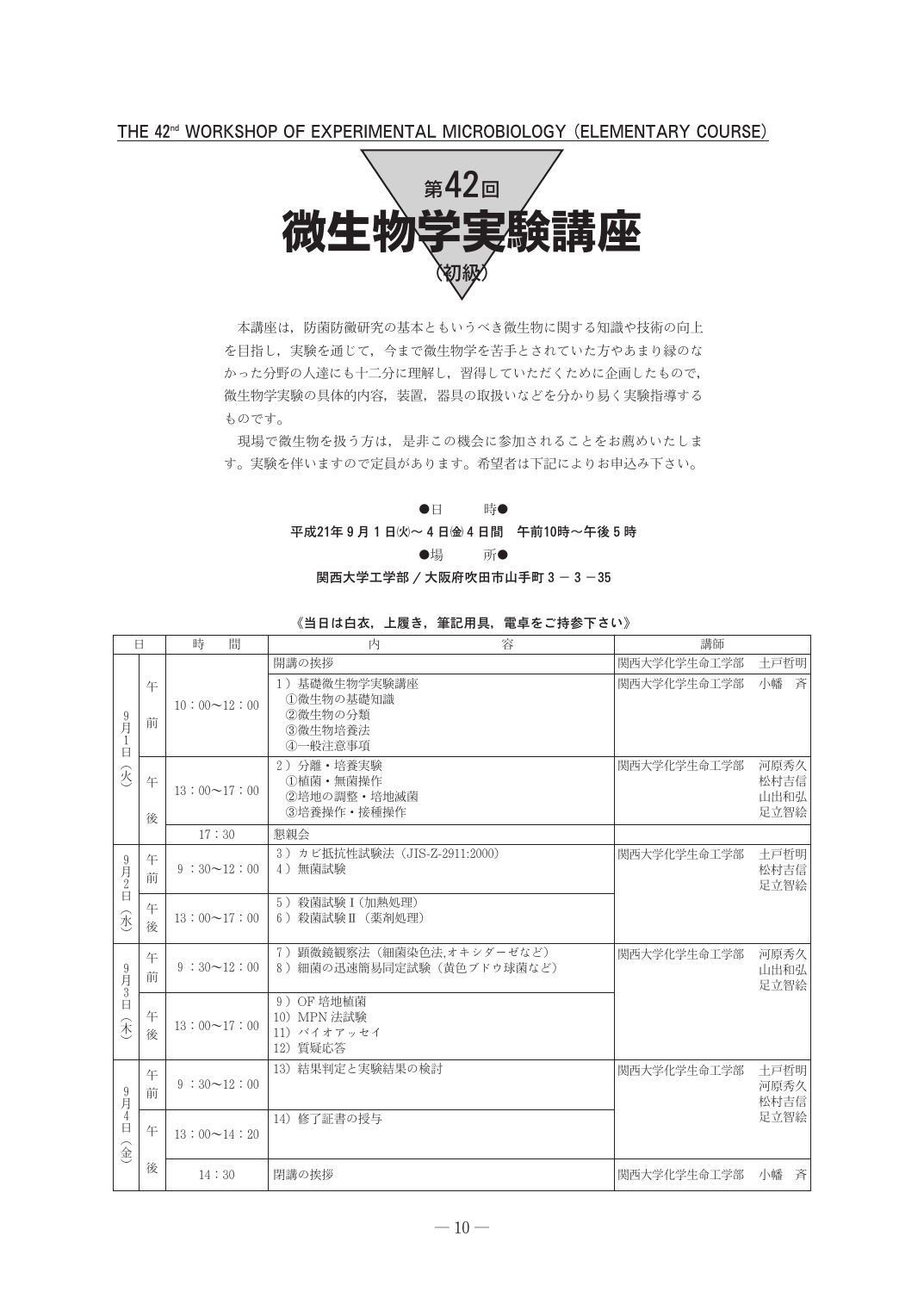THE 42<sup>nd</sup> WORKSHOP OF EXPERIMENTAL MICROBIOLOGY (ELEMENTARY COURSE)



本講座は、防菌防黴研究の基本ともいうべき微生物に関する知識や技術の向上 を目指し、実験を通じて、今まで微生物学を苦手とされていた方やあまり縁のな かった分野の人達にも十二分に理解し、習得していただくために企画したもので、 微生物学実験の具体的内容、装置、器具の取扱いなどを分かり易く実験指導する ものです。

現場で微生物を扱う方は、是非この機会に参加されることをお薦めいたしま す。実験を伴いますので定員があります。希望者は下記によりお申込み下さい。

### $\bullet$ 時●

平成21年9月1日(火)~4日(金4日間 午前10時~午後5時

●場 所●

関西大学工学部 / 大阪府吹田市山手町 3-3-35

|                                                        | Ħ      | 時<br>間             | 容<br>内                                                      | 講師          |                              |
|--------------------------------------------------------|--------|--------------------|-------------------------------------------------------------|-------------|------------------------------|
|                                                        |        |                    | 開講の挨拶                                                       | 関西大学化学生命工学部 | 土戸哲明                         |
| $\frac{9}{\cancel{5}}$<br>-1<br>E                      | 午<br>前 | $10:00 \sim 12:00$ | 1) 基礎微生物学実験講座<br>①微生物の基礎知識<br>②微生物の分類<br>3微生物培養法<br>4一般注意事項 | 関西大学化学生命工学部 | 小幡<br>吝                      |
| $\widehat{\mathcal{R}}$                                | 午<br>後 | $13:00 \sim 17:00$ | 2) 分離·培養実験<br>①植菌·無菌操作<br>②培地の調整·培地滅菌<br>③培養操作 • 接種操作       | 関西大学化学生命工学部 | 河原秀久<br>松村吉信<br>山出和弘<br>足立智絵 |
|                                                        |        | 17:30              | 懇親会                                                         |             |                              |
| $9\n  2\n$                                             | 午<br>前 | $9:30 \sim 12:00$  | 3) カビ抵抗性試験法 (JIS-Z-2911:2000)<br>4) 無菌試験                    | 関西大学化学生命工学部 | 土戸哲明<br>松村吉信<br>足立智絵         |
| $\Box$<br>永                                            | 午<br>後 | $13:00 \sim 17:00$ | 5) 殺菌試験 I (加熱処理)<br>6) 殺菌試験 II (薬剤処理)                       |             |                              |
| $9\n  5\n$                                             | 午<br>前 | $9:30 \sim 12:00$  | 7) 顕微鏡観察法 (細菌染色法,オキシダーゼなど)<br>8) 細菌の迅速簡易同定試験(黄色ブドウ球菌など)     | 関西大学化学生命工学部 | 河原秀久<br>山出和弘<br>足立智絵         |
| $\Box$<br>禾                                            | 午<br>後 | $13:00 \sim 17:00$ | 9) OF 培地植菌<br>10) MPN 法試験<br>11) バイオアッセイ<br>12) 質疑応答        |             |                              |
| $\frac{9}{\cancel{5}}$                                 | 午<br>前 | $9:30 \sim 12:00$  | 13) 結果判定と実験結果の検討                                            | 関西大学化学生命工学部 | 土戸哲明<br>河原秀久<br>松村吉信         |
| $\overline{4}$<br>日<br>$\mathbf{\widehat{\mathbb{E}}}$ | 午      | $13:00 \sim 14:20$ | 14) 修了証書の授与                                                 |             | 足立智絵                         |
|                                                        | 後      | 14:30              | 閉講の挨拶                                                       | 関西大学化学生命工学部 | 小幡<br>斉                      |

## 《当日は白衣, 上履き, 筆記用具, 電卓をご持参下さい》